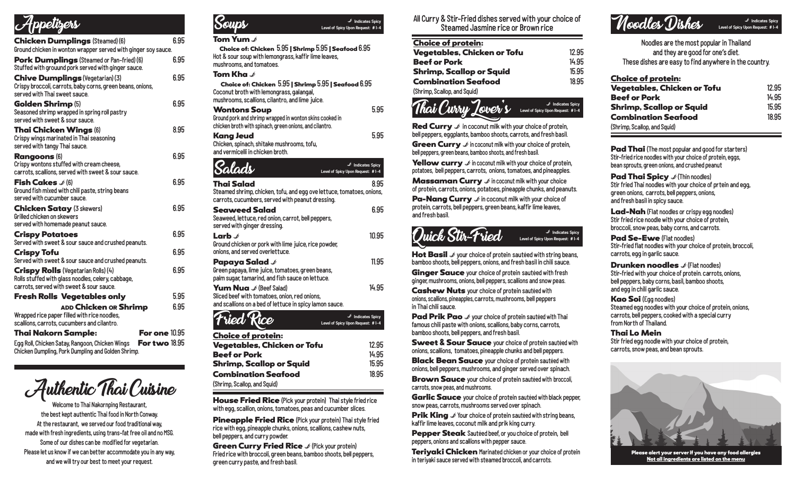# Appetizers

| <b>Chicken Dumplings</b> (Steamed) (6)<br>Ground chicken in wonton wrapper served with ginger soy sauce.                                     | 6.95 |
|----------------------------------------------------------------------------------------------------------------------------------------------|------|
| <b>Pork Dumplings</b> (Steamed or Pan-fried) (6)<br>Stuffed with grouund pork served with ginger sauce.                                      | 6.95 |
| Chive Dumplings (Vegetarian) (3)<br>Crispy broccoli, carrots, baby corns, green beans, onions,<br>served with Thai sweet sauce.              | 6.95 |
| <b>Golden Shrimp</b> (5)<br>Seasoned shrimp wrapped in spring roll pastry<br>served with sweet & sour sauce.                                 | 6.95 |
| <b>Thai Chicken Wings (6)</b><br>Crispy wings marinated in Thai seasoning<br>served with tangy Thai sauce.                                   | 8.95 |
| <b>Rangoons (6)</b><br>Crispy wontons stuffed with cream cheese,<br>carrots, scallions, served with sweet & sour sauce.                      | 6.95 |
| <b>Fish Cakes</b> $\mathcal{S}(6)$<br>Ground fish mixed with chili paste, string beans<br>served with cucumber sauce.                        | 6.95 |
| <b>Chicken Satay (3 skewers)</b><br>Grilled chicken on skewers<br>served with homemade peanut sauce.                                         | 6.95 |
| <b>Crispy Potatoes</b><br>Served with sweet & sour sauce and crushed peanuts.                                                                | 6.95 |
| <b>Crispy Tofu</b><br>Served with sweet & sour sauce and crushed peanuts.                                                                    | 6.95 |
| <b>Crispy Rolls (Vegetarian Rolls) (4)</b><br>Rolls stuffed with glass noodles, celery, cabbage,<br>carrots, served with sweet & sour sauce. | 6.95 |
| <b>Fresh Rolls Vegetables only</b>                                                                                                           | 5.95 |
| ADD Chicken OR Shrimp<br>Wrapped rice paper filled with rice noodles,<br>scallions, carrots, cucumbers and cilantro.                         | 6.95 |

Thai Nakorn Sample: For one 10.95

Egg Roll, Chicken Satay, Rangoon, Chicken Wings For two 18.95 Chicken Dumpling, Pork Dumpling and Golden Shrimp.



Welcome to Thai Nakornping Restaurant, the best kept authentic Thai food in North Conway. At the restaurant, we served our food traditional way, made with fresh ingredients, using trans-fat free oil and no MSG. Some of our dishes can be modified for vegetarian. Please let us know if we can better accommodate you in any way, and we will try our best to meet your request.

#### Tom Yum **⊅ Soups** B **Indicates Spicy Level of Spicy Upon Request: # 1-4**

 Choice of: Chicken 5.95 | Shrimp 5.95 | Seafood 6.95 Hot & sour soup with lemongrass, kaffir lime leaves, mushrooms, and tomatoes.

#### Tom Kha  $\mathcal{I}$

 Choice of: Chicken 5.95 | Shrimp 5.95 | Seafood 6.95 Coconut broth with lemongrass, galangal, mushrooms, scallions, cilantro, and lime juice.

#### Wontons Soup **6.95** Ground pork and shrimp wrapped in wonton skins cooked in chicken broth with spinach, green onions, and cilantro. Kang Jeud 5.95 Chicken, spinach, shitake mushrooms, tofu, and vermicelli in chicken broth.

Salads Thai Salad 8.95 Steamed shrimp, chicken, tofu, and egg ove lettuce, tomatoes, onions, carrots, cucumbers, served with peanut dressing. Seaweed Salad 6.95 Seaweed, lettuce, red onion, carrot, bell peppers, served with ginger dressing. **Larb**  $\ell$  10.95 Ground chicken or pork with lime juice, rice powder, onions, and served overlettuce. **Papaya Salad** B 11.95 Green papaya, lime juice, tomatoes, green beans, palm sugar, tamarind, and fish sauce on lettuce. **Yum Nua**  $\mathcal{L}$  (Beef Salad) 14.95 Sliced beef with tomatoes, onion, red onions, and scallions on a bed of lettuce in spicy lamon sauce. B **Indicates Spicy Level of Spicy Upon Request: # 1-4** ied Rice B **Indicates Spicy Level of Spicy Upon Request: # 1-4**

| <b>Choice of protein:</b>    |       |
|------------------------------|-------|
| Vegetables, Chicken or Tofu  | 12.95 |
| <b>Beef or Pork</b>          | 14.95 |
| Shrimp, Scallop or Squid     | 15.95 |
| <b>Combination Seafood</b>   | 18.95 |
| (Shrimp, Scallop, and Squid) |       |

House Fried Rice (Pick your protein) Thai style fried rice with egg, scallion, onions, tomatoes, peas and cucumber slices.

**Pineapple Fried Rice** (Pick your protein) Thai style fried rice with egg, pineapple chunks, onions, scallions, cashew nuts, bell peppers, and curry powder.

**Green Curry Fried Rice**  $\mathcal{I}$  (Pick your protein) Fried rice with broccoli, green beans, bamboo shoots, bell peppers, green curry paste, and fresh basil.

All Curry & Stir-Fried dishes served with your choice of Steamed Jasmine rice or Brown rice

| <b>Choice of protein:</b>    |       |
|------------------------------|-------|
| Vegetables, Chicken or Tofu  | 12.95 |
| <b>Beef or Pork</b>          | 14.95 |
| Shrimp, Scallop or Squid     | 15.95 |
| <b>Combination Seafood</b>   | 18.95 |
| (Shrimp, Scallop, and Squid) |       |

#### Thai Curry Lover' s <sup>B</sup> **Indicates Spicy Level of Spicy Upon Request: # 1-4**

**Red Curry**  $\mathcal{I}$  in coconut milk with your choice of protein, bell peppers, eggplants, bamboo shoots, carrots, and fresh basil.

**Green Curry**  $\mathcal{I}$  in coconut milk with your choice of protein, bell peppers, green beans, bamboo shoots, and fresh basil.

**Yellow curry**  $\mathcal{I}$  in coconut milk with your choice of protein, potatoes, bell peppers, carrots, onions, tomatoes, and pineapples.

**Massaman Curry**  $\mathcal{I}$  in coconut milk with your choice of protein, carrots, onions, potatoes, pineapple chunks, and peanuts.

**Pa-Nang Curry**  $\mathcal{I}$  in coconut milk with your choice of protein, carrots, bell peppers, green beans, kaffir lime leaves, and fresh basil.



**Hot Basil**  $\mathcal{S}$  your choice of protein sautéed with string beans, bamboo shoots, bell peppers, onions, and fresh basil in chili sauce.

Ginger Squce your choice of protein sautéed with fresh ginger, mushrooms, onions, bell peppers, scallions and snow peas.

Cashew Nuts your choice of protein sautéed with onions, scallions, pineapples, carrots, mushrooms, bell peppers in Thai chili sauce.

**Pad Prik Pao**  $\mathcal{I}$  your choice of protein sautéed with Thai famous chili paste with onions, scallions, baby corns, carrots, bamboo shoots, bell peppers, and fresh basil.

Sweet **&** Sour Sauce your choice of protein sautéed with onions, scallions, tomatoes, pineapple chunks and bell peppers.

**Black Bean Sauce** your choice of protein sautéed with onions, bell peppers, mushrooms, and ginger served over spinach.

**Brown Sauce** your choice of protein sautéed with broccoli, carrots, snow peas, and mushrooms.

Garlic Sauce your choice of protein sauteed with black pepper, snow peas, carrots, mushrooms served over spinach.

**Prik King**  $\mathcal{I}$  Your choice of protein sautéed with string beans, kaffir lime leaves, coconut milk and prik king curry.

Pepper Steak Sautéed beef, or you choice of protein, bell peppers, onions and scallions with pepper sauce.

**Teriyaki Chicken Marinated chicken or your choice of protein** in teriyaki sauce served with steamed broccoli, and carrots.



Noodles are the most popular in Thailand and they are good for one's diet. These dishes are easy to find anywhere in the country.

| <b>Choice of protein:</b>       |       |
|---------------------------------|-------|
| Vegetables, Chicken or Tofu     | 12.95 |
| <b>Beef or Pork</b>             | 14.95 |
| <b>Shrimp, Scallop or Squid</b> | 15.95 |
| <b>Combination Seafood</b>      | 18.95 |
| (Shrimp, Scallop, and Squid)    |       |

**Pad Thai** (The most popular and good for starters) Stir-fried rice noodles with your choice of protein, eggs, bean sprouts, green onions, and crushed peanut

Pad Thai Spicy  $\mathcal{I}$  (Thin noodles) Stir fried Thai noodles with your choice of prtein and egg, green onions, carrots, bell peppers, onions, and fresh basil in spicy sauce.

Lad-Nah (Flat noodles or crispy egg noodles) Stir fried rice noodle with your choice of protein, broccoli, snow peas, baby corns, and carrots.

Pad Se-Ewe (Flat noodles) Stir-fried flat noodles with your choice of protein, broccoli, carrots, egg in garlic sauce.

**Drunken noodles**  $\mathcal{L}$  (Flat noodles) Stir-fried with your choice of protein. carrots, onions, bell peppers, baby corns, basil, bamboo shoots, and egg in chili garlic sauce.

Kao Soi (Egg noodles) Steamed egg noodles with your choice of protein, onions, carrots, bell peppers, cooked with a special curry from North of Thailand.

#### Thai Lo Mein

Stir fried egg noodle with your choice of protein, carrots, snow peas, and bean sprouts.



Please alert your server if you have any food allergies Not all ingredients are listed on the menu